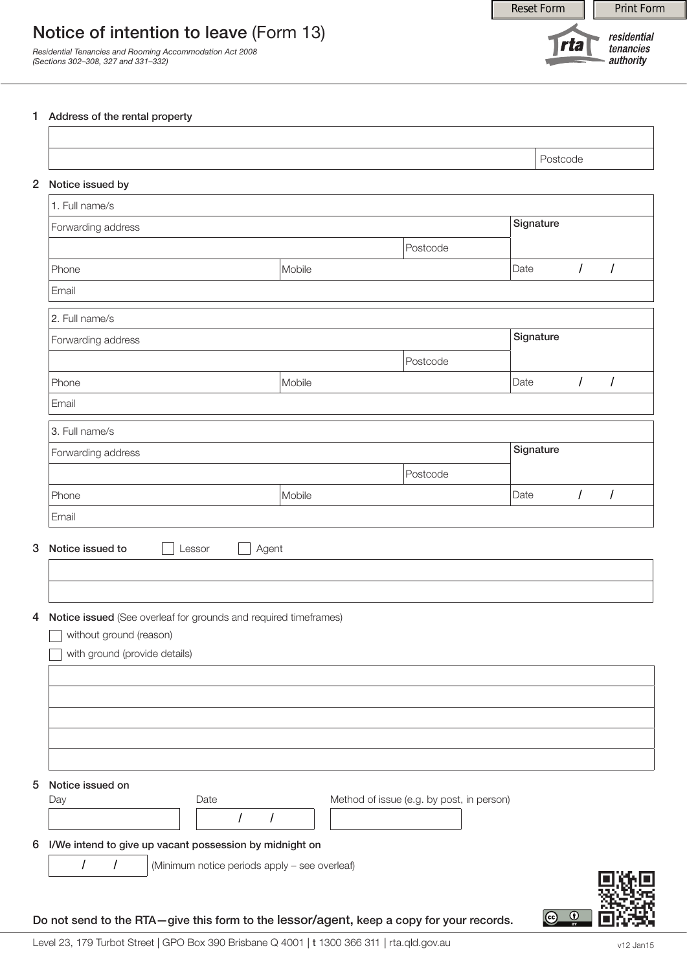Reset Form **Print Form** 



*Residential Tenancies and Rooming Accommodation Act 2008 (Sections 302–308, 327 and 331–332)*

residential **Trta** tenancies authority

## 1 Address of the rental property

| 2 Notice issued by                                                                                                                                                         |        |            |                 |           |                                           |           |            |                      |
|----------------------------------------------------------------------------------------------------------------------------------------------------------------------------|--------|------------|-----------------|-----------|-------------------------------------------|-----------|------------|----------------------|
| 1. Full name/s                                                                                                                                                             |        |            |                 |           |                                           |           |            |                      |
| Forwarding address                                                                                                                                                         |        |            |                 |           |                                           | Signature |            |                      |
|                                                                                                                                                                            |        |            |                 |           | Postcode                                  |           |            |                      |
| Phone                                                                                                                                                                      |        |            | Mobile          |           |                                           | Date      | $\sqrt{ }$ | $\sqrt{\phantom{a}}$ |
| Email                                                                                                                                                                      |        |            |                 |           |                                           |           |            |                      |
| 2. Full name/s                                                                                                                                                             |        |            |                 |           |                                           |           |            |                      |
| Forwarding address                                                                                                                                                         |        |            |                 | Signature |                                           |           |            |                      |
|                                                                                                                                                                            |        |            |                 |           | Postcode                                  |           |            |                      |
| Phone                                                                                                                                                                      |        |            | Mobile          |           |                                           | Date      | $\sqrt{2}$ | $\sqrt{2}$           |
| Email                                                                                                                                                                      |        |            |                 |           |                                           |           |            |                      |
| 3. Full name/s                                                                                                                                                             |        |            |                 |           |                                           |           |            |                      |
| Forwarding address                                                                                                                                                         |        |            |                 |           | Signature                                 |           |            |                      |
|                                                                                                                                                                            |        |            |                 |           | Postcode                                  |           |            |                      |
|                                                                                                                                                                            |        |            |                 |           |                                           |           |            |                      |
|                                                                                                                                                                            | Lessor |            | Mobile<br>Agent |           |                                           | Date      | $\sqrt{ }$ | $\overline{1}$       |
|                                                                                                                                                                            |        |            |                 |           |                                           |           |            |                      |
| without ground (reason)                                                                                                                                                    |        |            |                 |           |                                           |           |            |                      |
| with ground (provide details)                                                                                                                                              |        |            |                 |           |                                           |           |            |                      |
|                                                                                                                                                                            |        |            |                 |           |                                           |           |            |                      |
|                                                                                                                                                                            |        |            |                 |           |                                           |           |            |                      |
|                                                                                                                                                                            |        |            |                 |           |                                           |           |            |                      |
| Phone<br>Email                                                                                                                                                             |        |            |                 |           |                                           |           |            |                      |
|                                                                                                                                                                            |        |            |                 |           |                                           |           |            |                      |
|                                                                                                                                                                            |        | Date       |                 |           | Method of issue (e.g. by post, in person) |           |            |                      |
|                                                                                                                                                                            |        | $\sqrt{2}$ | Ι               |           |                                           |           |            |                      |
| Notice issued to<br>Notice issued (See overleaf for grounds and required timeframes)<br>Notice issued on<br>Day<br>I/We intend to give up vacant possession by midnight on |        |            |                 |           |                                           |           |            |                      |

Do not send to the RTA—give this form to the lessor/agent, keep a copy for your records.

 $\bigcirc$   $\bigcirc$